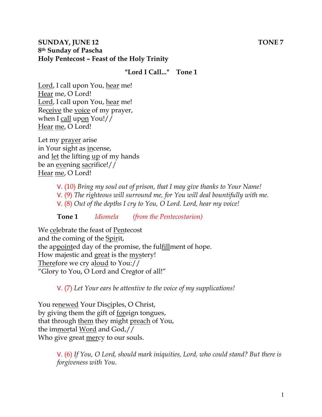### **SUNDAY, JUNE 12** TONE 7 **8th Sunday of Pascha Holy Pentecost – Feast of the Holy Trinity**

## **"Lord I Call..." Tone 1**

Lord, I call upon You, hear me! Hear me, O Lord! Lord, I call upon You, hear me! Receive the voice of my prayer, when I call upon You!// Hear me, O Lord!

Let my prayer arise in Your sight as incense, and let the lifting up of my hands be an evening sacrifice!// Hear me, O Lord!

> V. (10) *Bring my soul out of prison, that I may give thanks to Your Name!*  V. (9) *The righteous will surround me, for You will deal bountifully with me.*  V. (8) *Out of the depths I cry to You, O Lord. Lord, hear my voice!*

**Tone 1** *Idiomela (from the Pentecostarion)*

We celebrate the feast of Pentecost and the coming of the Spirit, the appointed day of the promise, the fulfillment of hope. How majestic and great is the mystery! Therefore we cry aloud to You:// "Glory to You, O Lord and Creator of all!"

V. (7) *Let Your ears be attentive to the voice of my supplications!*

You renewed Your Disciples, O Christ, by giving them the gift of foreign tongues, that through them they might preach of You, the immortal Word and God,// Who give great <u>mercy</u> to our souls.

> V. (6) *If You, O Lord, should mark iniquities, Lord, who could stand? But there is forgiveness with You.*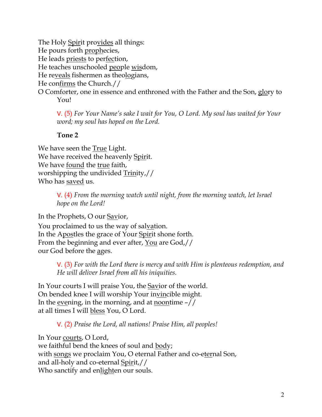The Holy Spirit provides all things: He pours forth prophecies, He leads priests to perfection, He teaches unschooled people wisdom, He reveals fishermen as theologians, He confirms the Church.// O Comforter, one in essence and enthroned with the Father and the Son, glory to You!

V. (5) *For Your Name's sake I wait for You, O Lord. My soul has waited for Your word; my soul has hoped on the Lord.* 

#### **Tone 2**

We have seen the True Light. We have received the heavenly Spirit. We have found the true faith, worshipping the undivided Trinity,// Who has saved us.

> V. (4) *From the morning watch until night, from the morning watch, let Israel hope on the Lord!*

In the Prophets, O our Savior,

You proclaimed to us the way of salvation. In the Apostles the grace of Your Spirit shone forth. From the beginning and ever after, <u>You</u> are God,// our God before the ages.

> V. (3) *For with the Lord there is mercy and with Him is plenteous redemption, and He will deliver Israel from all his iniquities.*

In Your courts I will praise You, the Savior of the world. On bended knee I will worship Your invincible might. In the evening, in the morning, and at <u>noontime</u>  $-$ // at all times I will bless You, O Lord.

V. (2) *Praise the Lord, all nations! Praise Him, all peoples!*

In Your courts, O Lord, we faithful bend the knees of soul and body; with songs we proclaim You, O eternal Father and co-eternal Son, and all-holy and co-eternal Spirit,// Who sanctify and enlighten our souls.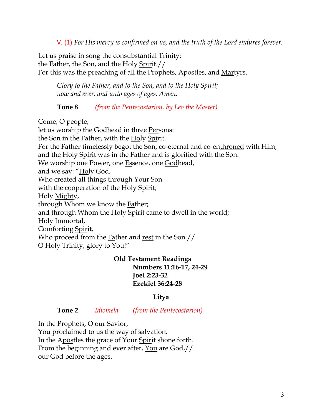V. (1) *For His mercy is confirmed on us, and the truth of the Lord endures forever.* 

Let us praise in song the consubstantial Trinity: the Father, the Son, and the Holy Spirit.// For this was the preaching of all the Prophets, Apostles, and Martyrs.

*Glory to the Father, and to the Son, and to the Holy Spirit; now and ever, and unto ages of ages. Amen.* 

**Tone 8** *(from the Pentecostarion, by Leo the Master)*

Come, O people,

let us worship the Godhead in three Persons: the Son in the Father, with the Holy Spirit. For the Father timelessly begot the Son, co-eternal and co-enthroned with Him; and the Holy Spirit was in the Father and is glorified with the Son. We worship one Power, one Essence, one Godhead, and we say: "Holy God, Who created all things through Your Son with the cooperation of the Holy Spirit; Holy Mighty, through Whom we know the Father; and through Whom the Holy Spirit came to dwell in the world; Holy Immortal, Comforting Spirit, Who proceed from the Father and rest in the Son.// O Holy Trinity, glory to You!"

### **Old Testament Readings Numbers 11:16-17, 24-29 Joel 2:23-32 Ezekiel 36:24-28**

# **Litya**

**Tone 2** *Idiomela (from the Pentecostarion)*

In the Prophets, O our Savior,

You proclaimed to us the way of salvation. In the Apostles the grace of Your Spirit shone forth. From the beginning and ever after, You are God,// our God before the ages.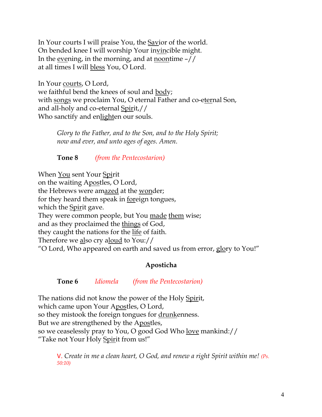In Your courts I will praise You, the Savior of the world. On bended knee I will worship Your invincible might. In the evening, in the morning, and at noontime  $-$ // at all times I will bless You, O Lord.

In Your courts, O Lord, we faithful bend the knees of soul and body; with songs we proclaim You, O eternal Father and co-eternal Son, and all-holy and co-eternal Spirit,// Who sanctify and enlighten our souls.

*Glory to the Father, and to the Son, and to the Holy Spirit; now and ever, and unto ages of ages. Amen.*

**Tone 8** *(from the Pentecostarion)*

When You sent Your Spirit on the waiting Apostles, O Lord, the Hebrews were amazed at the wonder; for they heard them speak in <u>foreign tongues</u>, which the Spirit gave. They were common people, but You made them wise; and as they proclaimed the things of God, they caught the nations for the life of faith. Therefore we also cry aloud to You:// "O Lord, Who appeared on earth and saved us from error, glory to You!"

# **Aposticha**

# **Tone 6** *Idiomela (from the Pentecostarion)*

The nations did not know the power of the Holy Spirit, which came upon Your Apostles, O Lord, so they mistook the foreign tongues for drunkenness. But we are strengthened by the Apostles, so we ceaselessly pray to You, O good God Who love mankind:// "Take not Your Holy Spirit from us!"

V. *Create in me a clean heart, O God, and renew a right Spirit within me! (Ps. 50:10)*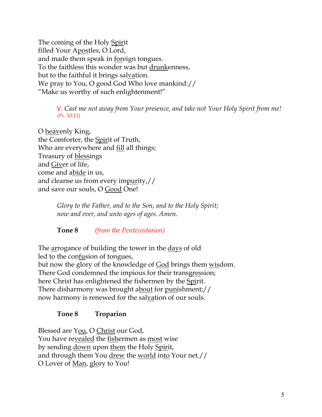The coming of the Holy Spirit filled Your Apostles, O Lord, and made them speak in foreign tongues. To the faithless this wonder was but drunkenness, but to the faithful it brings salvation. We pray to You, O good God Who love mankind:// "Make us worthy of such enlightenment!"

> V. *Cast me not away from Your presence, and take not Your Holy Spirit from me! (Ps. 50:11)*

O heavenly King, the Comforter, the Spirit of Truth, Who are everywhere and fill all things; Treasury of blessings and Giver of life, come and abide in us, and cleanse us from every impurity,// and save our souls, O Good One!

> *Glory to the Father, and to the Son, and to the Holy Spirit; now and ever, and unto ages of ages. Amen.*

**Tone 8** *(from the Pentecostarion)*

The arrogance of building the tower in the days of old led to the confusion of tongues, but now the glory of the knowledge of <u>God</u> brings them <u>wis</u>dom. There God condemned the impious for their transgression; here Christ has enlightened the fishermen by the Spirit. There disharmony was brought about for punishment;// now harmony is renewed for the salvation of our souls.

### **Tone 8 Troparion**

Blessed are You, O Christ our God, You have revealed the fishermen as most wise by sending <u>down</u> upon them the Holy Spirit, and through them You drew the world into Your net.// O Lover of <u>Man</u>, glory to You!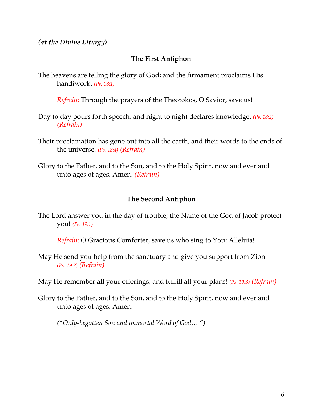*(at the Divine Liturgy)*

### **The First Antiphon**

The heavens are telling the glory of God; and the firmament proclaims His handiwork. *(Ps. 18:1)*

*Refrain:* Through the prayers of the Theotokos, O Savior, save us!

- Day to day pours forth speech, and night to night declares knowledge. *(Ps. 18:2) (Refrain)*
- Their proclamation has gone out into all the earth, and their words to the ends of the universe. *(Ps. 18:4) (Refrain)*
- Glory to the Father, and to the Son, and to the Holy Spirit, now and ever and unto ages of ages. Amen. *(Refrain)*

#### **The Second Antiphon**

The Lord answer you in the day of trouble; the Name of the God of Jacob protect you! *(Ps. 19:1)*

*Refrain:* O Gracious Comforter, save us who sing to You: Alleluia!

May He send you help from the sanctuary and give you support from Zion! *(Ps. 19:2) (Refrain)*

May He remember all your offerings, and fulfill all your plans! *(Ps. 19:3) (Refrain)*

Glory to the Father, and to the Son, and to the Holy Spirit, now and ever and unto ages of ages. Amen.

*("Only-begotten Son and immortal Word of God… ")*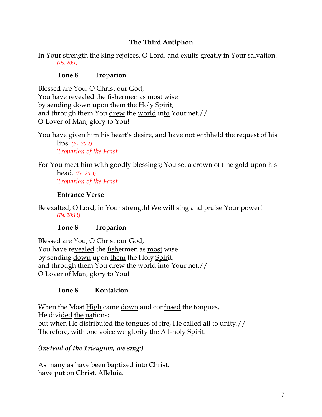## **The Third Antiphon**

In Your strength the king rejoices, O Lord, and exults greatly in Your salvation. *(Ps. 20:1)* 

### **Tone 8 Troparion**

Blessed are You, O Christ our God, You have revealed the fishermen as most wise by sending down upon them the Holy Spirit, and through them You drew the world into Your net.// O Lover of Man, glory to You!

You have given him his heart's desire, and have not withheld the request of his lips. *(Ps. 20:2) Troparion of the Feast*

For You meet him with goodly blessings; You set a crown of fine gold upon his head. *(Ps. 20:3) Troparion of the Feast*

#### **Entrance Verse**

Be exalted, O Lord, in Your strength! We will sing and praise Your power! *(Ps. 20:13)*

**Tone 8 Troparion**

Blessed are You, O Christ our God, You have revealed the fishermen as most wise by sending down upon them the Holy Spirit, and through them You drew the world into Your net.// O Lover of Man, glory to You!

### **Tone 8 Kontakion**

When the Most High came down and confused the tongues, He divided the nations; but when He distributed the tongues of fire, He called all to unity.// Therefore, with one voice we glorify the All-holy Spirit.

### *(Instead of the Trisagion, we sing:)*

As many as have been baptized into Christ, have put on Christ. Alleluia.